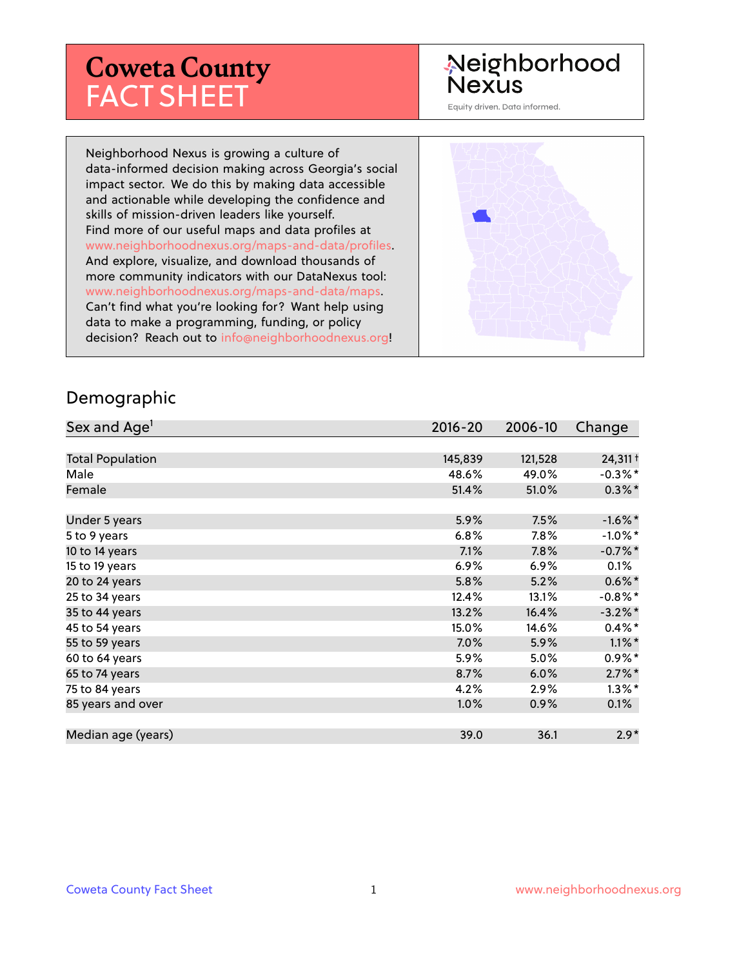# **Coweta County** FACT SHEET

# Neighborhood **Nexus**

Equity driven. Data informed.

Neighborhood Nexus is growing a culture of data-informed decision making across Georgia's social impact sector. We do this by making data accessible and actionable while developing the confidence and skills of mission-driven leaders like yourself. Find more of our useful maps and data profiles at www.neighborhoodnexus.org/maps-and-data/profiles. And explore, visualize, and download thousands of more community indicators with our DataNexus tool: www.neighborhoodnexus.org/maps-and-data/maps. Can't find what you're looking for? Want help using data to make a programming, funding, or policy decision? Reach out to [info@neighborhoodnexus.org!](mailto:info@neighborhoodnexus.org)



#### Demographic

| Sex and Age <sup>1</sup> | $2016 - 20$ | 2006-10 | Change     |
|--------------------------|-------------|---------|------------|
|                          |             |         |            |
| <b>Total Population</b>  | 145,839     | 121,528 | 24,311 +   |
| Male                     | 48.6%       | 49.0%   | $-0.3\%$ * |
| Female                   | 51.4%       | 51.0%   | $0.3\%$ *  |
|                          |             |         |            |
| Under 5 years            | 5.9%        | 7.5%    | $-1.6\%$ * |
| 5 to 9 years             | 6.8%        | $7.8\%$ | $-1.0\%$ * |
| 10 to 14 years           | 7.1%        | 7.8%    | $-0.7%$ *  |
| 15 to 19 years           | 6.9%        | $6.9\%$ | 0.1%       |
| 20 to 24 years           | 5.8%        | 5.2%    | $0.6\%$ *  |
| 25 to 34 years           | 12.4%       | 13.1%   | $-0.8\%$ * |
| 35 to 44 years           | 13.2%       | 16.4%   | $-3.2\%$ * |
| 45 to 54 years           | 15.0%       | 14.6%   | $0.4\%$ *  |
| 55 to 59 years           | 7.0%        | 5.9%    | $1.1\%$ *  |
| 60 to 64 years           | 5.9%        | 5.0%    | $0.9\%*$   |
| 65 to 74 years           | 8.7%        | 6.0%    | $2.7\%$ *  |
| 75 to 84 years           | 4.2%        | 2.9%    | $1.3\%$ *  |
| 85 years and over        | $1.0\%$     | 0.9%    | $0.1\%$    |
|                          |             |         |            |
| Median age (years)       | 39.0        | 36.1    | $2.9*$     |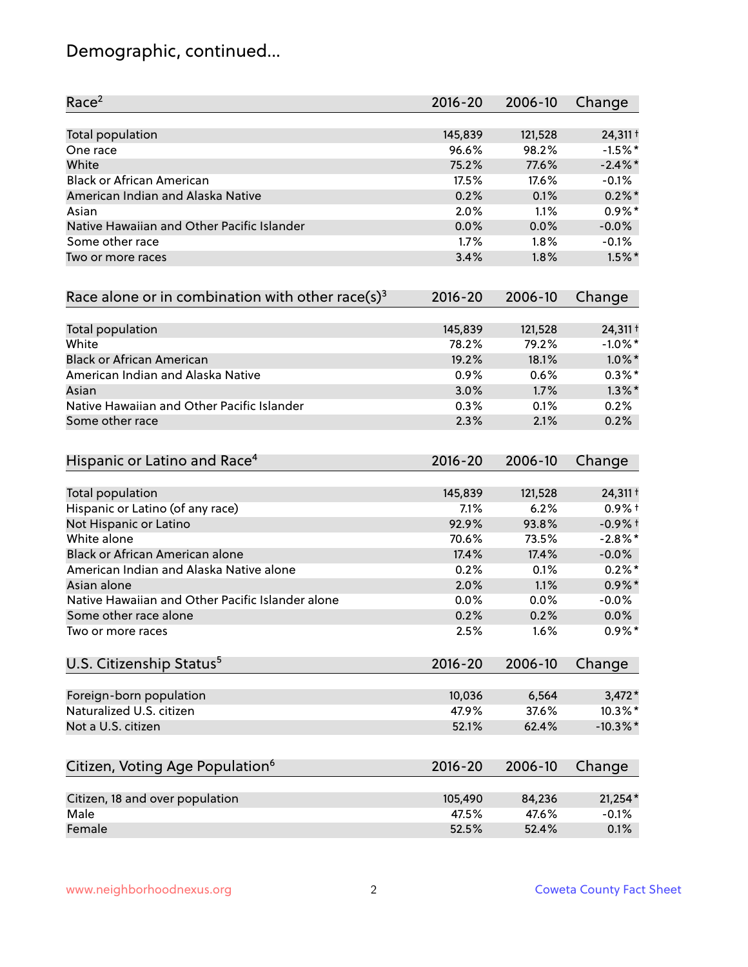# Demographic, continued...

| Race <sup>2</sup>                                   | $2016 - 20$ | 2006-10 | Change      |
|-----------------------------------------------------|-------------|---------|-------------|
| <b>Total population</b>                             | 145,839     | 121,528 | 24,311 +    |
| One race                                            | 96.6%       | 98.2%   | $-1.5%$ *   |
| White                                               | 75.2%       | 77.6%   | $-2.4\%$ *  |
| <b>Black or African American</b>                    | 17.5%       | 17.6%   | $-0.1%$     |
| American Indian and Alaska Native                   | 0.2%        | 0.1%    | $0.2\%$ *   |
| Asian                                               | 2.0%        | 1.1%    | $0.9\%$ *   |
| Native Hawaiian and Other Pacific Islander          | 0.0%        | 0.0%    | $-0.0%$     |
| Some other race                                     | 1.7%        | 1.8%    | $-0.1%$     |
| Two or more races                                   | 3.4%        | 1.8%    | $1.5\%$ *   |
| Race alone or in combination with other race(s) $3$ | $2016 - 20$ | 2006-10 | Change      |
| Total population                                    | 145,839     | 121,528 | 24,311 +    |
| White                                               | 78.2%       | 79.2%   | $-1.0\%$ *  |
| <b>Black or African American</b>                    | 19.2%       | 18.1%   | $1.0\%$ *   |
| American Indian and Alaska Native                   | 0.9%        | 0.6%    | $0.3\%*$    |
| Asian                                               | 3.0%        | 1.7%    | $1.3\%$ *   |
| Native Hawaiian and Other Pacific Islander          | 0.3%        | 0.1%    | 0.2%        |
| Some other race                                     | 2.3%        | 2.1%    | 0.2%        |
| Hispanic or Latino and Race <sup>4</sup>            | $2016 - 20$ | 2006-10 | Change      |
| Total population                                    | 145,839     | 121,528 | 24,311 +    |
| Hispanic or Latino (of any race)                    | 7.1%        | 6.2%    | $0.9%$ +    |
| Not Hispanic or Latino                              | 92.9%       | 93.8%   | $-0.9%$ +   |
| White alone                                         | 70.6%       | 73.5%   | $-2.8\%$ *  |
| Black or African American alone                     | 17.4%       | 17.4%   | $-0.0%$     |
| American Indian and Alaska Native alone             | 0.2%        | 0.1%    | $0.2%$ *    |
| Asian alone                                         | 2.0%        | 1.1%    | $0.9\%$ *   |
| Native Hawaiian and Other Pacific Islander alone    | 0.0%        | 0.0%    | $-0.0%$     |
| Some other race alone                               | 0.2%        | 0.2%    | 0.0%        |
| Two or more races                                   | 2.5%        | 1.6%    | $0.9\%$ *   |
| U.S. Citizenship Status <sup>5</sup>                | $2016 - 20$ | 2006-10 | Change      |
| Foreign-born population                             | 10,036      | 6,564   | $3,472*$    |
| Naturalized U.S. citizen                            | 47.9%       | 37.6%   | 10.3%*      |
| Not a U.S. citizen                                  | 52.1%       | 62.4%   | $-10.3\%$ * |
| Citizen, Voting Age Population <sup>6</sup>         | $2016 - 20$ | 2006-10 |             |
|                                                     |             |         | Change      |
| Citizen, 18 and over population                     | 105,490     | 84,236  | $21,254*$   |
| Male                                                | 47.5%       | 47.6%   | $-0.1%$     |
| Female                                              | 52.5%       | 52.4%   | 0.1%        |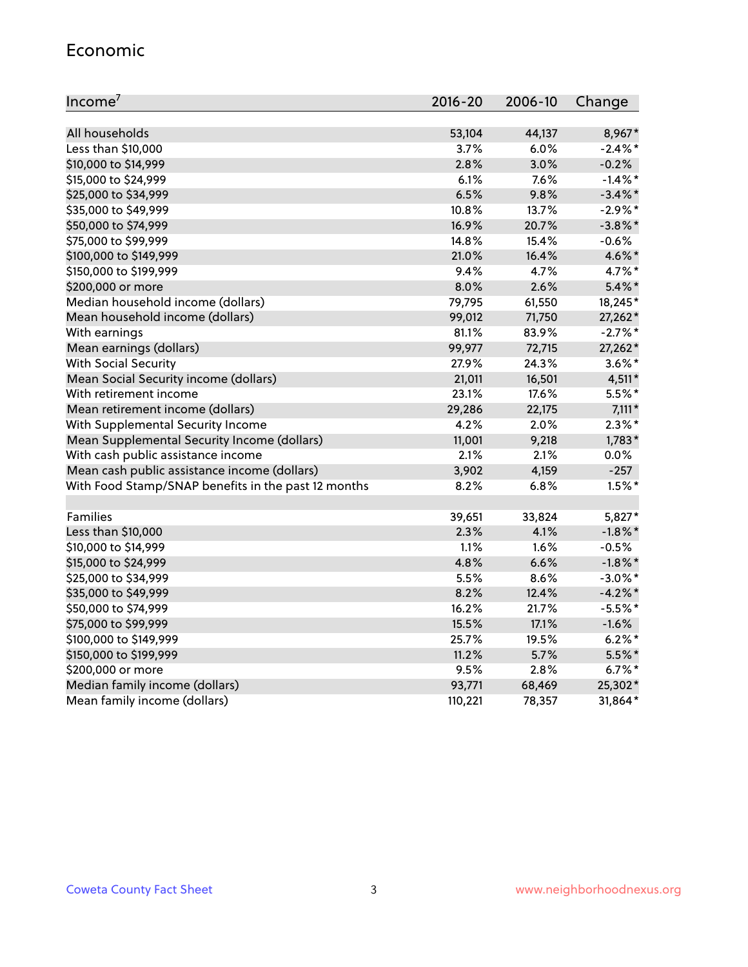#### Economic

| Income <sup>7</sup>                                 | $2016 - 20$ | 2006-10 | Change     |
|-----------------------------------------------------|-------------|---------|------------|
|                                                     |             |         |            |
| All households                                      | 53,104      | 44,137  | 8,967*     |
| Less than \$10,000                                  | 3.7%        | 6.0%    | $-2.4\%$ * |
| \$10,000 to \$14,999                                | 2.8%        | 3.0%    | $-0.2%$    |
| \$15,000 to \$24,999                                | 6.1%        | 7.6%    | $-1.4\%$ * |
| \$25,000 to \$34,999                                | 6.5%        | 9.8%    | $-3.4\%$ * |
| \$35,000 to \$49,999                                | 10.8%       | 13.7%   | $-2.9\%$ * |
| \$50,000 to \$74,999                                | 16.9%       | 20.7%   | $-3.8\%$ * |
| \$75,000 to \$99,999                                | 14.8%       | 15.4%   | $-0.6%$    |
| \$100,000 to \$149,999                              | 21.0%       | 16.4%   | 4.6%*      |
| \$150,000 to \$199,999                              | 9.4%        | 4.7%    | 4.7%*      |
| \$200,000 or more                                   | 8.0%        | 2.6%    | $5.4\%$ *  |
| Median household income (dollars)                   | 79,795      | 61,550  | 18,245*    |
| Mean household income (dollars)                     | 99,012      | 71,750  | 27,262*    |
| With earnings                                       | 81.1%       | 83.9%   | $-2.7\%$ * |
| Mean earnings (dollars)                             | 99,977      | 72,715  | 27,262*    |
| <b>With Social Security</b>                         | 27.9%       | 24.3%   | $3.6\%$ *  |
| Mean Social Security income (dollars)               | 21,011      | 16,501  | $4,511*$   |
| With retirement income                              | 23.1%       | 17.6%   | $5.5%$ *   |
| Mean retirement income (dollars)                    | 29,286      | 22,175  | $7,111*$   |
| With Supplemental Security Income                   | 4.2%        | 2.0%    | $2.3\%$ *  |
| Mean Supplemental Security Income (dollars)         | 11,001      | 9,218   | $1,783*$   |
| With cash public assistance income                  | 2.1%        | 2.1%    | 0.0%       |
| Mean cash public assistance income (dollars)        | 3,902       | 4,159   | $-257$     |
| With Food Stamp/SNAP benefits in the past 12 months | 8.2%        | 6.8%    | $1.5\%$ *  |
|                                                     |             |         |            |
| Families                                            | 39,651      | 33,824  | 5,827*     |
| Less than \$10,000                                  | $2.3\%$     | 4.1%    | $-1.8\%$ * |
| \$10,000 to \$14,999                                | 1.1%        | 1.6%    | $-0.5%$    |
| \$15,000 to \$24,999                                | 4.8%        | 6.6%    | $-1.8\%$ * |
| \$25,000 to \$34,999                                | 5.5%        | 8.6%    | $-3.0\%$ * |
| \$35,000 to \$49,999                                | 8.2%        | 12.4%   | $-4.2\%$ * |
| \$50,000 to \$74,999                                | 16.2%       | 21.7%   | $-5.5%$ *  |
| \$75,000 to \$99,999                                | 15.5%       | 17.1%   | $-1.6%$    |
| \$100,000 to \$149,999                              | 25.7%       | 19.5%   | $6.2\%$ *  |
| \$150,000 to \$199,999                              | 11.2%       | 5.7%    | $5.5\%$ *  |
| \$200,000 or more                                   | 9.5%        | 2.8%    | $6.7\%$ *  |
| Median family income (dollars)                      | 93,771      | 68,469  | 25,302*    |
| Mean family income (dollars)                        | 110,221     | 78,357  | 31,864*    |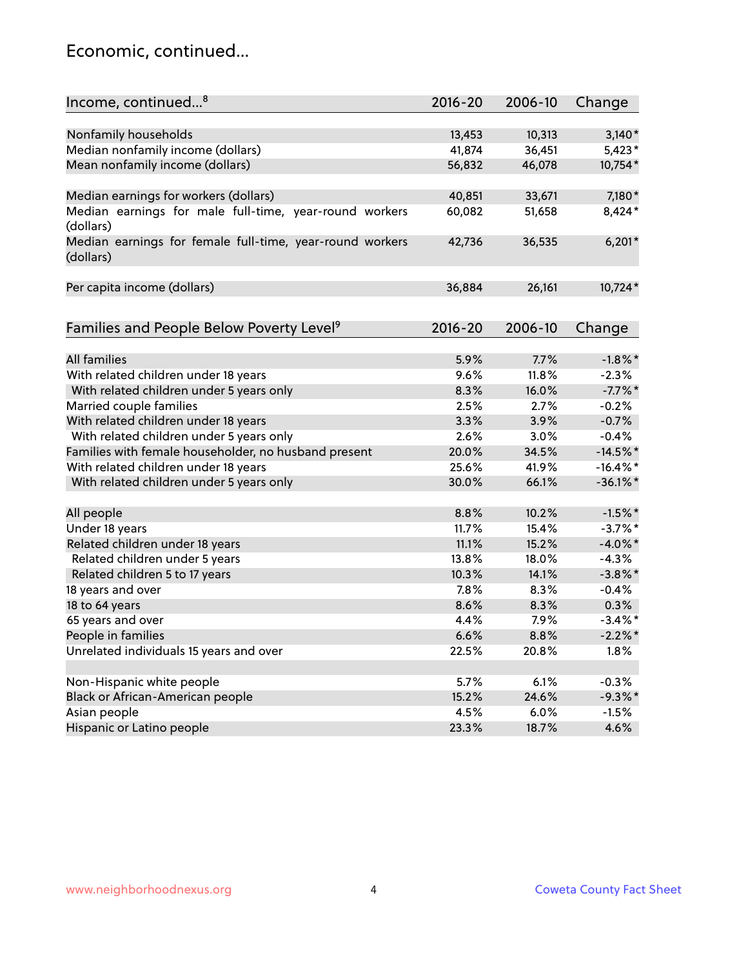### Economic, continued...

| Income, continued <sup>8</sup>                                        | $2016 - 20$ | 2006-10 | Change      |
|-----------------------------------------------------------------------|-------------|---------|-------------|
|                                                                       |             |         |             |
| Nonfamily households                                                  | 13,453      | 10,313  | $3,140*$    |
| Median nonfamily income (dollars)                                     | 41,874      | 36,451  | $5,423*$    |
| Mean nonfamily income (dollars)                                       | 56,832      | 46,078  | 10,754*     |
| Median earnings for workers (dollars)                                 | 40,851      | 33,671  | 7,180*      |
| Median earnings for male full-time, year-round workers<br>(dollars)   | 60,082      | 51,658  | 8,424*      |
| Median earnings for female full-time, year-round workers<br>(dollars) | 42,736      | 36,535  | $6,201*$    |
| Per capita income (dollars)                                           | 36,884      | 26,161  | 10,724*     |
| Families and People Below Poverty Level <sup>9</sup>                  | $2016 - 20$ | 2006-10 | Change      |
|                                                                       |             |         |             |
| <b>All families</b>                                                   | 5.9%        | 7.7%    | $-1.8\%$ *  |
| With related children under 18 years                                  | 9.6%        | 11.8%   | $-2.3%$     |
| With related children under 5 years only                              | 8.3%        | 16.0%   | $-7.7%$ *   |
| Married couple families                                               | 2.5%        | 2.7%    | $-0.2%$     |
| With related children under 18 years                                  | 3.3%        | 3.9%    | $-0.7%$     |
| With related children under 5 years only                              | 2.6%        | 3.0%    | $-0.4%$     |
| Families with female householder, no husband present                  | 20.0%       | 34.5%   | $-14.5%$ *  |
| With related children under 18 years                                  | 25.6%       | 41.9%   | $-16.4\%$ * |
| With related children under 5 years only                              | 30.0%       | 66.1%   | $-36.1\%$ * |
| All people                                                            | 8.8%        | 10.2%   | $-1.5%$ *   |
| Under 18 years                                                        | 11.7%       | 15.4%   | $-3.7%$ *   |
| Related children under 18 years                                       | 11.1%       | 15.2%   | $-4.0\%$ *  |
| Related children under 5 years                                        | 13.8%       | 18.0%   | $-4.3%$     |
| Related children 5 to 17 years                                        | 10.3%       | 14.1%   | $-3.8\%$ *  |
| 18 years and over                                                     | 7.8%        | 8.3%    | $-0.4%$     |
| 18 to 64 years                                                        | 8.6%        | 8.3%    | 0.3%        |
| 65 years and over                                                     | 4.4%        | 7.9%    | $-3.4\%$ *  |
| People in families                                                    | 6.6%        | 8.8%    | $-2.2%$ *   |
| Unrelated individuals 15 years and over                               | 22.5%       | 20.8%   | 1.8%        |
|                                                                       |             |         |             |
| Non-Hispanic white people                                             | 5.7%        | 6.1%    | $-0.3%$     |
| Black or African-American people                                      | 15.2%       | 24.6%   | $-9.3\%$ *  |
| Asian people                                                          | 4.5%        | 6.0%    | $-1.5%$     |
| Hispanic or Latino people                                             | 23.3%       | 18.7%   | 4.6%        |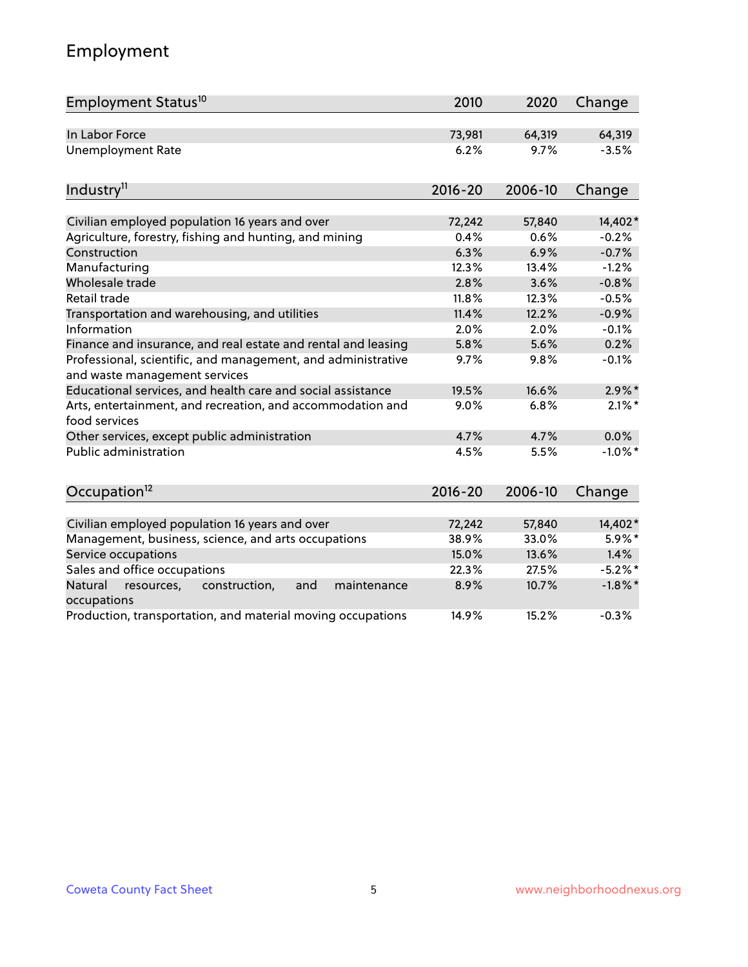# Employment

| Employment Status <sup>10</sup>                                                               | 2010        | 2020    | Change     |
|-----------------------------------------------------------------------------------------------|-------------|---------|------------|
| In Labor Force                                                                                | 73,981      | 64,319  | 64,319     |
| <b>Unemployment Rate</b>                                                                      | 6.2%        | 9.7%    | $-3.5%$    |
| Industry <sup>11</sup>                                                                        | $2016 - 20$ | 2006-10 | Change     |
| Civilian employed population 16 years and over                                                | 72,242      | 57,840  | 14,402*    |
| Agriculture, forestry, fishing and hunting, and mining                                        | 0.4%        | 0.6%    | $-0.2%$    |
| Construction                                                                                  | 6.3%        | 6.9%    | $-0.7%$    |
| Manufacturing                                                                                 | 12.3%       | 13.4%   | $-1.2%$    |
| Wholesale trade                                                                               | 2.8%        | 3.6%    | $-0.8%$    |
| Retail trade                                                                                  | 11.8%       | 12.3%   | $-0.5%$    |
| Transportation and warehousing, and utilities                                                 | 11.4%       | 12.2%   | $-0.9%$    |
| Information                                                                                   | 2.0%        | 2.0%    | $-0.1%$    |
| Finance and insurance, and real estate and rental and leasing                                 | 5.8%        | 5.6%    | 0.2%       |
| Professional, scientific, and management, and administrative<br>and waste management services | 9.7%        | 9.8%    | $-0.1%$    |
| Educational services, and health care and social assistance                                   | 19.5%       | 16.6%   | $2.9\%$ *  |
| Arts, entertainment, and recreation, and accommodation and<br>food services                   | 9.0%        | 6.8%    | $2.1\%$ *  |
| Other services, except public administration                                                  | 4.7%        | 4.7%    | 0.0%       |
| <b>Public administration</b>                                                                  | 4.5%        | 5.5%    | $-1.0\%$ * |
| Occupation <sup>12</sup>                                                                      | $2016 - 20$ | 2006-10 | Change     |
| Civilian employed population 16 years and over                                                | 72,242      | 57,840  | 14,402*    |
| Management, business, science, and arts occupations                                           | 38.9%       | 33.0%   | 5.9%*      |
| Service occupations                                                                           | 15.0%       | 13.6%   | 1.4%       |
| Sales and office occupations                                                                  | 22.3%       | 27.5%   | $-5.2%$ *  |
| Natural<br>resources,<br>construction,<br>and<br>maintenance                                  | 8.9%        | 10.7%   | $-1.8\%$ * |
| occupations                                                                                   |             |         |            |
| Production, transportation, and material moving occupations                                   | 14.9%       | 15.2%   | $-0.3%$    |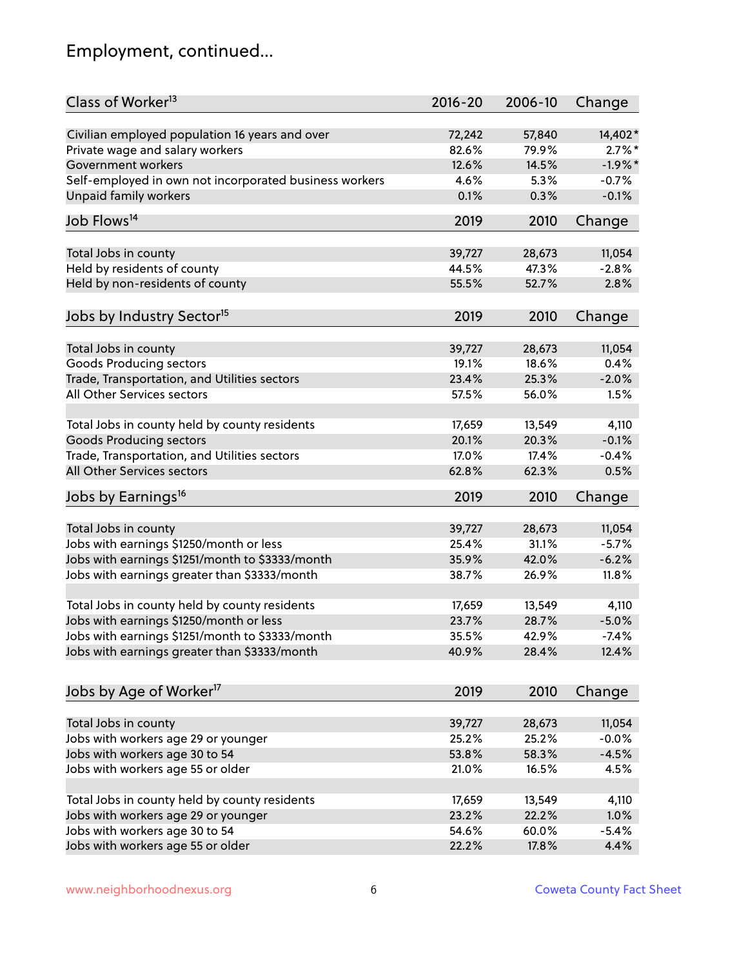# Employment, continued...

| Class of Worker <sup>13</sup>                          | $2016 - 20$ | 2006-10         | Change    |
|--------------------------------------------------------|-------------|-----------------|-----------|
| Civilian employed population 16 years and over         | 72,242      | 57,840          | 14,402*   |
| Private wage and salary workers                        | 82.6%       | 79.9%           | $2.7\%$ * |
| Government workers                                     | 12.6%       | 14.5%           | $-1.9%$ * |
| Self-employed in own not incorporated business workers | 4.6%        | 5.3%            | $-0.7%$   |
| <b>Unpaid family workers</b>                           | 0.1%        | 0.3%            | $-0.1%$   |
| Job Flows <sup>14</sup>                                | 2019        | 2010            | Change    |
| Total Jobs in county                                   | 39,727      | 28,673          | 11,054    |
| Held by residents of county                            | 44.5%       | 47.3%           | $-2.8%$   |
|                                                        | 55.5%       | 52.7%           | 2.8%      |
| Held by non-residents of county                        |             |                 |           |
| Jobs by Industry Sector <sup>15</sup>                  | 2019        | 2010            | Change    |
| Total Jobs in county                                   | 39,727      | 28,673          | 11,054    |
| <b>Goods Producing sectors</b>                         | 19.1%       | 18.6%           | 0.4%      |
| Trade, Transportation, and Utilities sectors           | 23.4%       | 25.3%           | $-2.0%$   |
| All Other Services sectors                             | 57.5%       | 56.0%           | 1.5%      |
|                                                        |             |                 |           |
| Total Jobs in county held by county residents          | 17,659      | 13,549          | 4,110     |
| <b>Goods Producing sectors</b>                         | 20.1%       | 20.3%           | $-0.1%$   |
| Trade, Transportation, and Utilities sectors           | 17.0%       | 17.4%           | $-0.4%$   |
| All Other Services sectors                             | 62.8%       | 62.3%           | 0.5%      |
| Jobs by Earnings <sup>16</sup>                         | 2019        | 2010            | Change    |
| Total Jobs in county                                   | 39,727      |                 | 11,054    |
| Jobs with earnings \$1250/month or less                | 25.4%       | 28,673<br>31.1% | $-5.7%$   |
| Jobs with earnings \$1251/month to \$3333/month        | 35.9%       | 42.0%           | $-6.2%$   |
|                                                        |             |                 |           |
| Jobs with earnings greater than \$3333/month           | 38.7%       | 26.9%           | 11.8%     |
| Total Jobs in county held by county residents          | 17,659      | 13,549          | 4,110     |
| Jobs with earnings \$1250/month or less                | 23.7%       | 28.7%           | $-5.0%$   |
| Jobs with earnings \$1251/month to \$3333/month        | 35.5%       | 42.9%           | -7.4%     |
| Jobs with earnings greater than \$3333/month           | 40.9%       | 28.4%           | 12.4%     |
|                                                        |             |                 |           |
| Jobs by Age of Worker <sup>17</sup>                    | 2019        | 2010            | Change    |
| Total Jobs in county                                   | 39,727      | 28,673          | 11,054    |
| Jobs with workers age 29 or younger                    | 25.2%       | 25.2%           | $-0.0%$   |
| Jobs with workers age 30 to 54                         | 53.8%       | 58.3%           | $-4.5%$   |
| Jobs with workers age 55 or older                      | 21.0%       | 16.5%           | 4.5%      |
|                                                        |             |                 |           |
| Total Jobs in county held by county residents          | 17,659      | 13,549          | 4,110     |
| Jobs with workers age 29 or younger                    | 23.2%       | 22.2%           | 1.0%      |
| Jobs with workers age 30 to 54                         | 54.6%       | 60.0%           | $-5.4%$   |
| Jobs with workers age 55 or older                      | 22.2%       | 17.8%           | 4.4%      |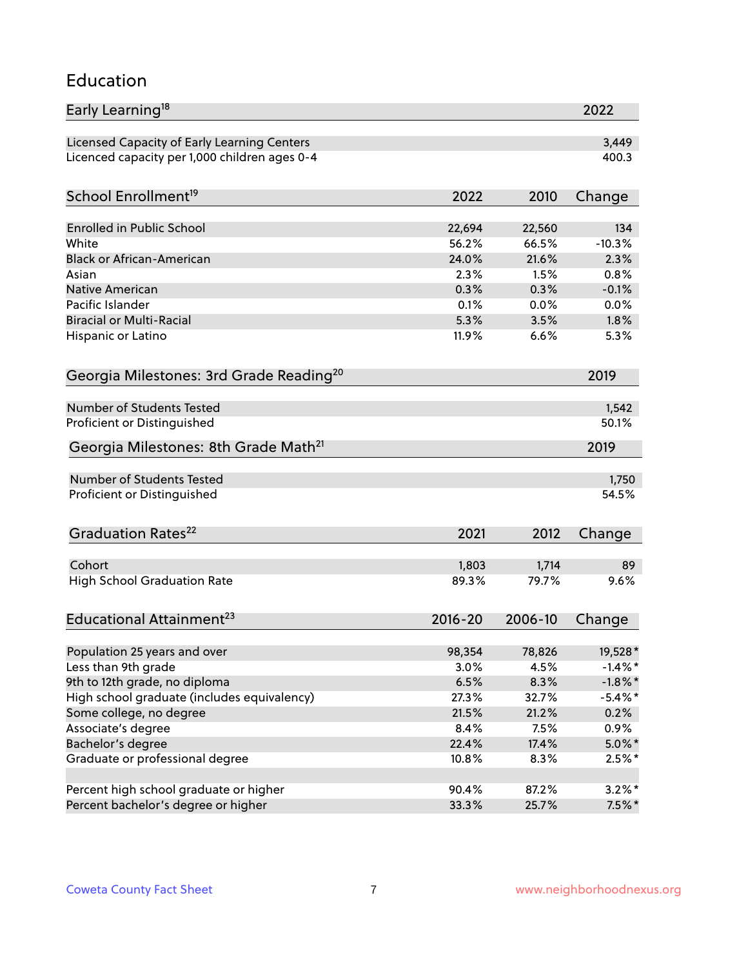#### Education

| Early Learning <sup>18</sup>                        |             |         | 2022       |
|-----------------------------------------------------|-------------|---------|------------|
| Licensed Capacity of Early Learning Centers         |             |         | 3,449      |
| Licenced capacity per 1,000 children ages 0-4       |             |         | 400.3      |
| School Enrollment <sup>19</sup>                     | 2022        | 2010    | Change     |
|                                                     |             |         |            |
| <b>Enrolled in Public School</b>                    | 22,694      | 22,560  | 134        |
| White                                               | 56.2%       | 66.5%   | $-10.3%$   |
| <b>Black or African-American</b>                    | 24.0%       | 21.6%   | 2.3%       |
| Asian                                               | 2.3%        | 1.5%    | 0.8%       |
| Native American                                     | 0.3%        | 0.3%    | $-0.1%$    |
| Pacific Islander                                    | 0.1%        | 0.0%    | 0.0%       |
| <b>Biracial or Multi-Racial</b>                     | 5.3%        | 3.5%    | 1.8%       |
| Hispanic or Latino                                  | 11.9%       | 6.6%    | 5.3%       |
| Georgia Milestones: 3rd Grade Reading <sup>20</sup> |             |         | 2019       |
|                                                     |             |         |            |
| Number of Students Tested                           |             |         | 1,542      |
| Proficient or Distinguished                         |             |         | 50.1%      |
| Georgia Milestones: 8th Grade Math <sup>21</sup>    |             |         | 2019       |
| Number of Students Tested                           |             |         | 1,750      |
| Proficient or Distinguished                         |             |         | 54.5%      |
|                                                     |             |         |            |
| Graduation Rates <sup>22</sup>                      | 2021        | 2012    | Change     |
| Cohort                                              | 1,803       | 1,714   | 89         |
| <b>High School Graduation Rate</b>                  | 89.3%       | 79.7%   | 9.6%       |
|                                                     |             |         |            |
| Educational Attainment <sup>23</sup>                | $2016 - 20$ | 2006-10 | Change     |
| Population 25 years and over                        | 98,354      | 78,826  | 19,528*    |
| Less than 9th grade                                 | 3.0%        | 4.5%    | $-1.4%$ *  |
| 9th to 12th grade, no diploma                       | 6.5%        | 8.3%    | $-1.8\%$ * |
| High school graduate (includes equivalency)         |             |         | $-5.4\%$ * |
|                                                     | 27.3%       | 32.7%   |            |
| Some college, no degree                             | 21.5%       | 21.2%   | 0.2%       |
| Associate's degree                                  | 8.4%        | 7.5%    | $0.9\%$    |
| Bachelor's degree                                   | 22.4%       | 17.4%   | $5.0\%$ *  |
| Graduate or professional degree                     | 10.8%       | 8.3%    | $2.5%$ *   |
| Percent high school graduate or higher              | 90.4%       | 87.2%   | $3.2\%$ *  |
| Percent bachelor's degree or higher                 | 33.3%       | 25.7%   | $7.5\%$ *  |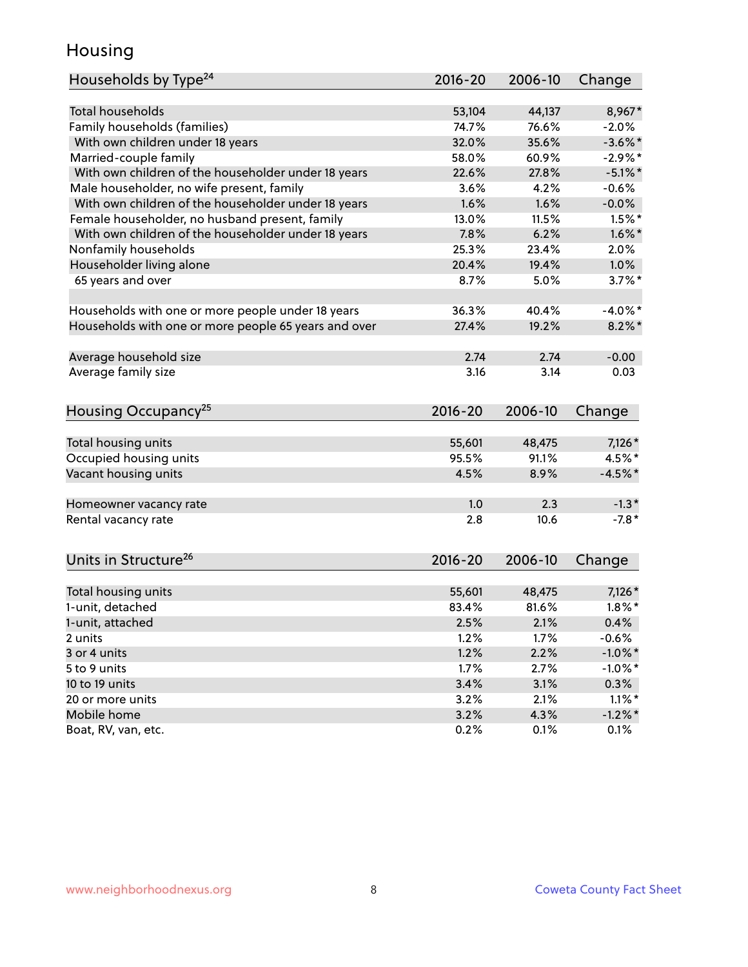### Housing

| Households by Type <sup>24</sup>                     | 2016-20     | 2006-10 | Change     |
|------------------------------------------------------|-------------|---------|------------|
|                                                      |             |         |            |
| <b>Total households</b>                              | 53,104      | 44,137  | 8,967*     |
| Family households (families)                         | 74.7%       | 76.6%   | $-2.0%$    |
| With own children under 18 years                     | 32.0%       | 35.6%   | $-3.6\%$ * |
| Married-couple family                                | 58.0%       | 60.9%   | $-2.9%$ *  |
| With own children of the householder under 18 years  | 22.6%       | 27.8%   | $-5.1\%$ * |
| Male householder, no wife present, family            | 3.6%        | 4.2%    | $-0.6%$    |
| With own children of the householder under 18 years  | 1.6%        | 1.6%    | $-0.0%$    |
| Female householder, no husband present, family       | 13.0%       | 11.5%   | $1.5%$ *   |
| With own children of the householder under 18 years  | 7.8%        | 6.2%    | $1.6\%$ *  |
| Nonfamily households                                 | 25.3%       | 23.4%   | 2.0%       |
| Householder living alone                             | 20.4%       | 19.4%   | 1.0%       |
| 65 years and over                                    | 8.7%        | 5.0%    | $3.7\%$ *  |
|                                                      |             |         |            |
| Households with one or more people under 18 years    | 36.3%       | 40.4%   | $-4.0\%$ * |
| Households with one or more people 65 years and over | 27.4%       | 19.2%   | $8.2\%$ *  |
|                                                      |             |         |            |
| Average household size                               | 2.74        | 2.74    | $-0.00$    |
| Average family size                                  | 3.16        | 3.14    | 0.03       |
|                                                      |             |         |            |
| Housing Occupancy <sup>25</sup>                      | $2016 - 20$ | 2006-10 | Change     |
|                                                      |             |         |            |
| Total housing units                                  | 55,601      | 48,475  | 7,126 *    |
| Occupied housing units                               | 95.5%       | 91.1%   | 4.5%*      |
| Vacant housing units                                 | 4.5%        | 8.9%    | $-4.5%$ *  |
| Homeowner vacancy rate                               | 1.0         | 2.3     | $-1.3*$    |
| Rental vacancy rate                                  | 2.8         | 10.6    | $-7.8*$    |
|                                                      |             |         |            |
| Units in Structure <sup>26</sup>                     | $2016 - 20$ | 2006-10 | Change     |
|                                                      |             |         |            |
| Total housing units                                  | 55,601      | 48,475  | $7,126*$   |
| 1-unit, detached                                     | 83.4%       | 81.6%   | $1.8\%$ *  |
| 1-unit, attached                                     | 2.5%        | 2.1%    | 0.4%       |
| 2 units                                              | 1.2%        | 1.7%    | $-0.6%$    |
| 3 or 4 units                                         | 1.2%        | 2.2%    | $-1.0\%$ * |
| 5 to 9 units                                         | 1.7%        | 2.7%    | $-1.0\%$ * |
| 10 to 19 units                                       | 3.4%        | 3.1%    | 0.3%       |
| 20 or more units                                     | 3.2%        | 2.1%    | $1.1\%$ *  |
| Mobile home                                          | 3.2%        | 4.3%    | $-1.2%$ *  |
| Boat, RV, van, etc.                                  | 0.2%        | 0.1%    | 0.1%       |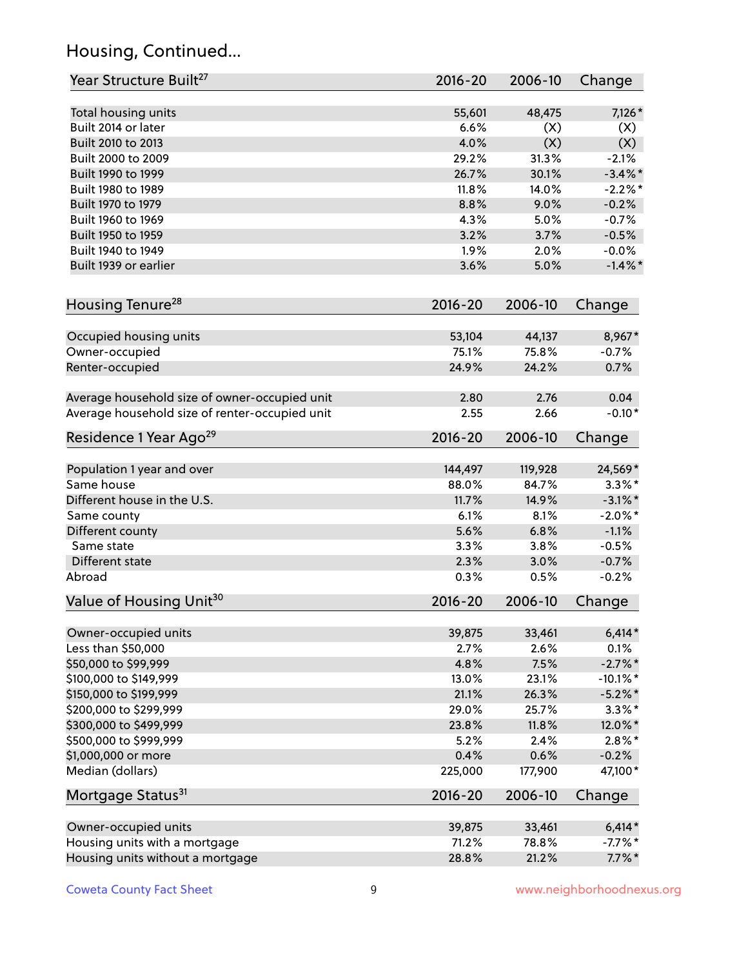# Housing, Continued...

| Year Structure Built <sup>27</sup>             | 2016-20     | 2006-10 | Change      |
|------------------------------------------------|-------------|---------|-------------|
| Total housing units                            | 55,601      | 48,475  | $7,126*$    |
| Built 2014 or later                            | 6.6%        | (X)     | (X)         |
| Built 2010 to 2013                             | 4.0%        | (X)     | (X)         |
| Built 2000 to 2009                             | 29.2%       | 31.3%   | $-2.1%$     |
| Built 1990 to 1999                             | 26.7%       | 30.1%   | $-3.4\%$ *  |
| Built 1980 to 1989                             | 11.8%       | 14.0%   | $-2.2\%$ *  |
| Built 1970 to 1979                             | 8.8%        | 9.0%    | $-0.2%$     |
| Built 1960 to 1969                             | 4.3%        | 5.0%    | $-0.7%$     |
| Built 1950 to 1959                             | 3.2%        | 3.7%    | $-0.5%$     |
| Built 1940 to 1949                             | 1.9%        | 2.0%    | $-0.0%$     |
| Built 1939 or earlier                          | 3.6%        | 5.0%    | $-1.4\%$ *  |
| Housing Tenure <sup>28</sup>                   | 2016-20     | 2006-10 | Change      |
|                                                |             |         |             |
| Occupied housing units                         | 53,104      | 44,137  | 8,967*      |
| Owner-occupied                                 | 75.1%       | 75.8%   | $-0.7%$     |
| Renter-occupied                                | 24.9%       | 24.2%   | 0.7%        |
| Average household size of owner-occupied unit  | 2.80        | 2.76    | 0.04        |
| Average household size of renter-occupied unit | 2.55        | 2.66    | $-0.10*$    |
| Residence 1 Year Ago <sup>29</sup>             | 2016-20     | 2006-10 | Change      |
| Population 1 year and over                     | 144,497     | 119,928 | 24,569*     |
| Same house                                     | 88.0%       | 84.7%   | $3.3\%$ *   |
| Different house in the U.S.                    | 11.7%       | 14.9%   | $-3.1\%$ *  |
| Same county                                    | 6.1%        | 8.1%    | $-2.0\%$ *  |
| Different county                               | 5.6%        | 6.8%    | $-1.1%$     |
| Same state                                     | 3.3%        | 3.8%    | $-0.5%$     |
| Different state                                | 2.3%        | 3.0%    | $-0.7%$     |
| Abroad                                         | 0.3%        | 0.5%    | $-0.2%$     |
| Value of Housing Unit <sup>30</sup>            | 2016-20     | 2006-10 | Change      |
|                                                |             |         |             |
| Owner-occupied units                           | 39,875      | 33,461  | $6,414*$    |
| Less than \$50,000                             | 2.7%        | 2.6%    | 0.1%        |
| \$50,000 to \$99,999                           | 4.8%        | 7.5%    | $-2.7\%$ *  |
| \$100,000 to \$149,999                         | 13.0%       | 23.1%   | $-10.1\%$ * |
| \$150,000 to \$199,999                         | 21.1%       | 26.3%   | $-5.2\%$ *  |
| \$200,000 to \$299,999                         | 29.0%       | 25.7%   | $3.3\%$ *   |
| \$300,000 to \$499,999                         | 23.8%       | 11.8%   | 12.0%*      |
| \$500,000 to \$999,999                         | 5.2%        | 2.4%    | $2.8\%$ *   |
| \$1,000,000 or more                            | 0.4%        | 0.6%    | $-0.2%$     |
| Median (dollars)                               | 225,000     | 177,900 | 47,100*     |
| Mortgage Status <sup>31</sup>                  | $2016 - 20$ | 2006-10 | Change      |
| Owner-occupied units                           | 39,875      | 33,461  | $6,414*$    |
| Housing units with a mortgage                  | 71.2%       | 78.8%   | $-7.7%$ *   |
| Housing units without a mortgage               | 28.8%       | 21.2%   | $7.7\%$ *   |
|                                                |             |         |             |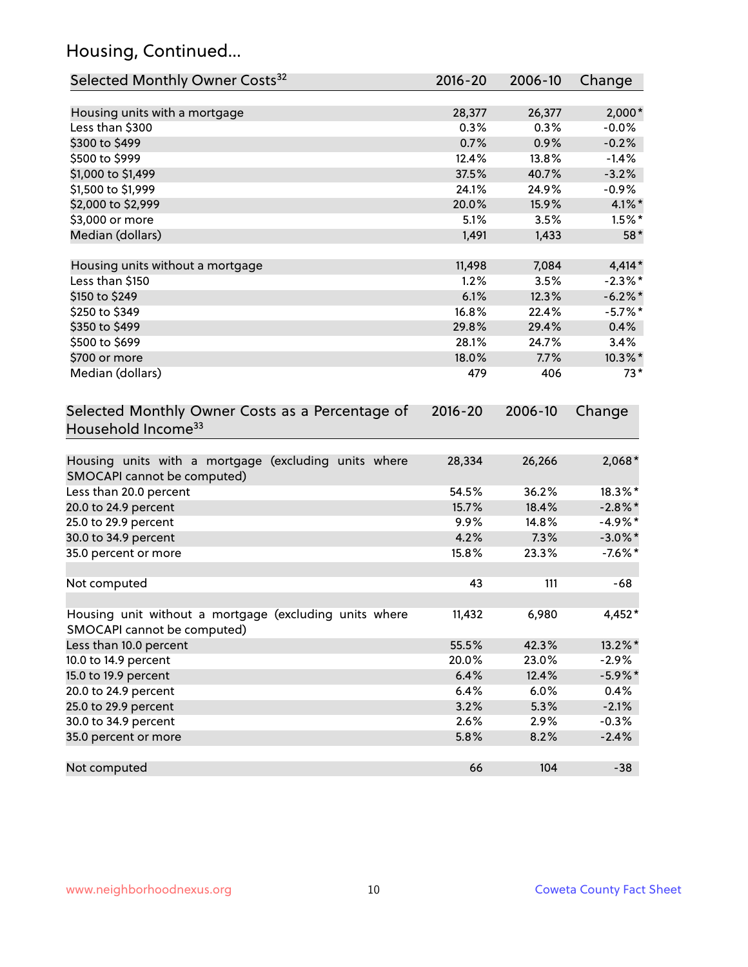# Housing, Continued...

| Selected Monthly Owner Costs <sup>32</sup>                                            | 2016-20     | 2006-10 | Change     |
|---------------------------------------------------------------------------------------|-------------|---------|------------|
| Housing units with a mortgage                                                         | 28,377      | 26,377  | $2,000*$   |
| Less than \$300                                                                       | 0.3%        | 0.3%    | $-0.0%$    |
| \$300 to \$499                                                                        | 0.7%        | 0.9%    | $-0.2%$    |
| \$500 to \$999                                                                        | 12.4%       | 13.8%   | $-1.4%$    |
| \$1,000 to \$1,499                                                                    | 37.5%       | 40.7%   | $-3.2%$    |
| \$1,500 to \$1,999                                                                    | 24.1%       | 24.9%   | $-0.9\%$   |
| \$2,000 to \$2,999                                                                    | 20.0%       | 15.9%   | $4.1\%$ *  |
| \$3,000 or more                                                                       | 5.1%        | 3.5%    | $1.5\%$ *  |
| Median (dollars)                                                                      | 1,491       | 1,433   | 58*        |
| Housing units without a mortgage                                                      | 11,498      | 7,084   | $4,414*$   |
| Less than \$150                                                                       | 1.2%        | 3.5%    | $-2.3\%$ * |
| \$150 to \$249                                                                        | 6.1%        | 12.3%   | $-6.2\%$ * |
| \$250 to \$349                                                                        | 16.8%       | 22.4%   | $-5.7\%$ * |
| \$350 to \$499                                                                        | 29.8%       | 29.4%   | 0.4%       |
| \$500 to \$699                                                                        | 28.1%       | 24.7%   | 3.4%       |
| \$700 or more                                                                         | 18.0%       | 7.7%    | 10.3%*     |
| Median (dollars)                                                                      | 479         | 406     | $73*$      |
| Selected Monthly Owner Costs as a Percentage of<br>Household Income <sup>33</sup>     | $2016 - 20$ | 2006-10 | Change     |
| Housing units with a mortgage (excluding units where<br>SMOCAPI cannot be computed)   | 28,334      | 26,266  | $2,068*$   |
| Less than 20.0 percent                                                                | 54.5%       | 36.2%   | 18.3%*     |
| 20.0 to 24.9 percent                                                                  | 15.7%       | 18.4%   | $-2.8\%$ * |
| 25.0 to 29.9 percent                                                                  | 9.9%        | 14.8%   | $-4.9\%$ * |
| 30.0 to 34.9 percent                                                                  | 4.2%        | 7.3%    | $-3.0\%$ * |
| 35.0 percent or more                                                                  | 15.8%       | 23.3%   | $-7.6\%$ * |
| Not computed                                                                          | 43          | 111     | $-68$      |
| Housing unit without a mortgage (excluding units where<br>SMOCAPI cannot be computed) | 11,432      | 6,980   | 4,452*     |
| Less than 10.0 percent                                                                | 55.5%       | 42.3%   | 13.2%*     |
| 10.0 to 14.9 percent                                                                  | 20.0%       | 23.0%   | $-2.9%$    |
| 15.0 to 19.9 percent                                                                  | 6.4%        | 12.4%   | $-5.9\%$ * |
| 20.0 to 24.9 percent                                                                  | 6.4%        | 6.0%    | 0.4%       |
| 25.0 to 29.9 percent                                                                  | 3.2%        | 5.3%    | $-2.1%$    |
| 30.0 to 34.9 percent                                                                  | 2.6%        | 2.9%    | $-0.3%$    |
| 35.0 percent or more                                                                  | 5.8%        | 8.2%    | $-2.4%$    |
| Not computed                                                                          | 66          | 104     | $-38$      |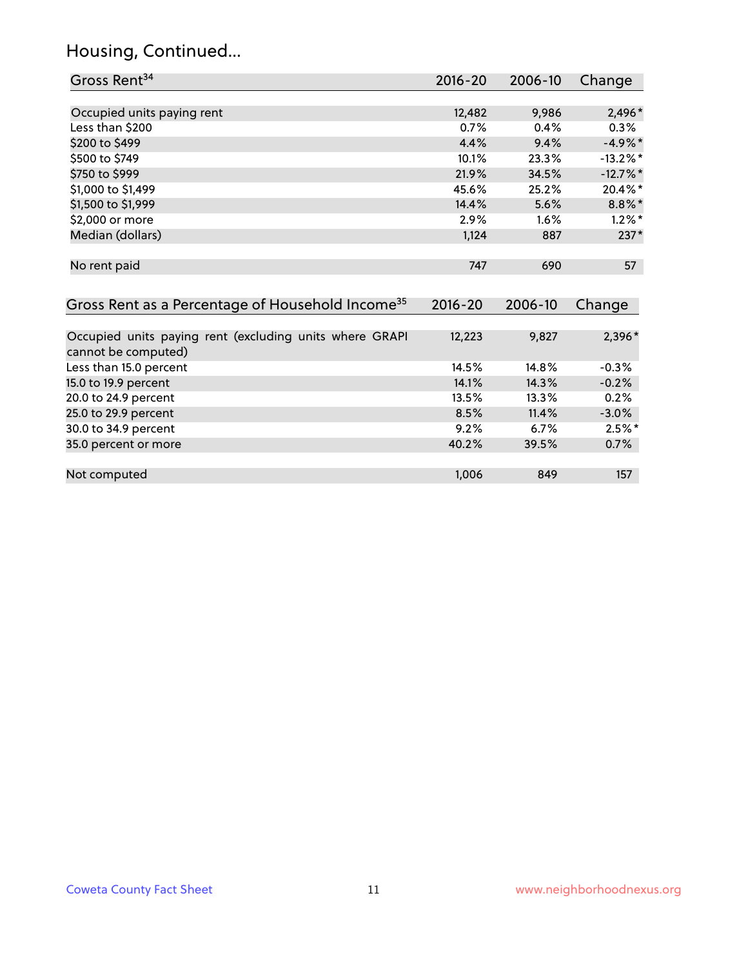# Housing, Continued...

| Gross Rent <sup>34</sup>                                                       | 2016-20     | 2006-10 | Change      |
|--------------------------------------------------------------------------------|-------------|---------|-------------|
|                                                                                |             |         |             |
| Occupied units paying rent                                                     | 12,482      | 9,986   | 2,496*      |
| Less than \$200                                                                | 0.7%        | 0.4%    | 0.3%        |
| \$200 to \$499                                                                 | 4.4%        | 9.4%    | $-4.9\%$ *  |
| \$500 to \$749                                                                 | 10.1%       | 23.3%   | $-13.2\%$ * |
| \$750 to \$999                                                                 | 21.9%       | 34.5%   | $-12.7%$ *  |
| \$1,000 to \$1,499                                                             | 45.6%       | 25.2%   | 20.4%*      |
| \$1,500 to \$1,999                                                             | 14.4%       | 5.6%    | $8.8\%$ *   |
| \$2,000 or more                                                                | 2.9%        | 1.6%    | $1.2\%$ *   |
| Median (dollars)                                                               | 1,124       | 887     | $237*$      |
| No rent paid                                                                   | 747         | 690     | 57          |
| Gross Rent as a Percentage of Household Income <sup>35</sup>                   | $2016 - 20$ | 2006-10 | Change      |
|                                                                                |             |         |             |
| Occupied units paying rent (excluding units where GRAPI<br>cannot be computed) | 12,223      | 9,827   | 2,396*      |
| Less than 15.0 percent                                                         | 14.5%       | 14.8%   | $-0.3%$     |
| 15.0 to 19.9 percent                                                           | 14.1%       | 14.3%   | $-0.2%$     |
| 20.0 to 24.9 percent                                                           | 13.5%       | 13.3%   | 0.2%        |
| 25.0 to 29.9 percent                                                           | 8.5%        | 11.4%   | $-3.0%$     |
| 30.0 to 34.9 percent                                                           | 9.2%        | 6.7%    | $2.5%$ *    |
| 35.0 percent or more                                                           | 40.2%       | 39.5%   | 0.7%        |
|                                                                                |             |         |             |
| Not computed                                                                   | 1,006       | 849     | 157         |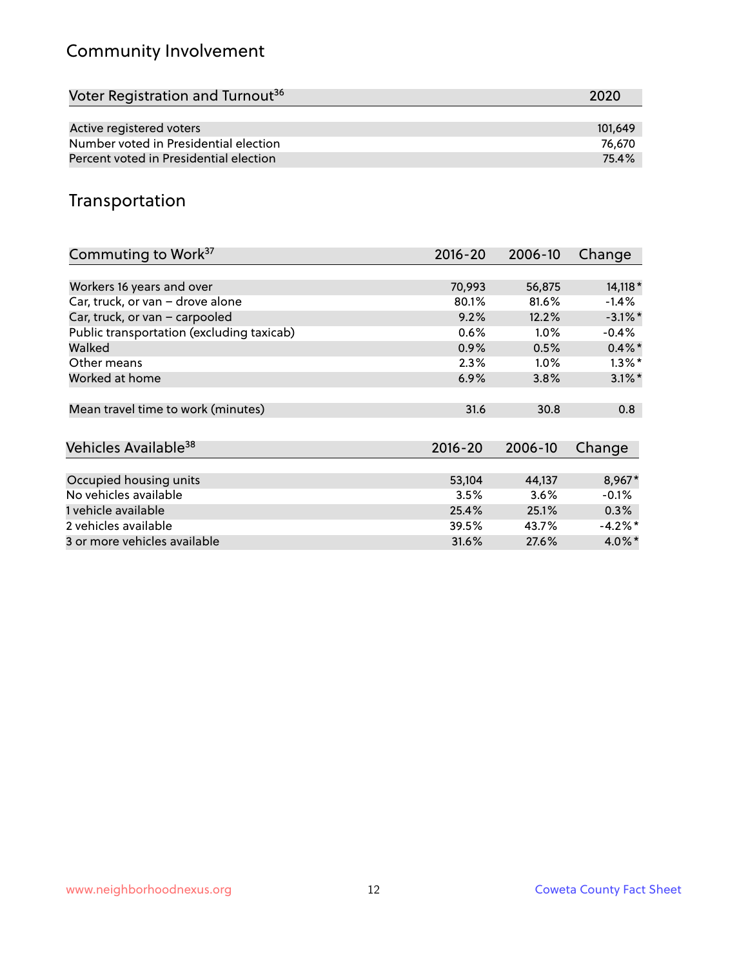# Community Involvement

| Voter Registration and Turnout <sup>36</sup> | 2020    |
|----------------------------------------------|---------|
|                                              |         |
| Active registered voters                     | 101.649 |
| Number voted in Presidential election        | 76.670  |
| Percent voted in Presidential election       | 75.4%   |

## Transportation

| Commuting to Work <sup>37</sup>           | 2016-20     | 2006-10 | Change     |
|-------------------------------------------|-------------|---------|------------|
|                                           |             |         |            |
| Workers 16 years and over                 | 70,993      | 56,875  | 14,118 *   |
| Car, truck, or van - drove alone          | 80.1%       | 81.6%   | $-1.4%$    |
| Car, truck, or van - carpooled            | 9.2%        | 12.2%   | $-3.1\%$ * |
| Public transportation (excluding taxicab) | 0.6%        | $1.0\%$ | $-0.4\%$   |
| Walked                                    | 0.9%        | 0.5%    | $0.4\%$ *  |
| Other means                               | 2.3%        | $1.0\%$ | $1.3\%$ *  |
| Worked at home                            | 6.9%        | 3.8%    | $3.1\%$ *  |
| Mean travel time to work (minutes)        | 31.6        | 30.8    | 0.8        |
|                                           |             |         |            |
| Vehicles Available <sup>38</sup>          | $2016 - 20$ | 2006-10 | Change     |
|                                           |             |         |            |
| Occupied housing units                    | 53,104      | 44,137  | 8,967*     |
| No vehicles available                     | 3.5%        | 3.6%    | $-0.1%$    |
| 1 vehicle available                       | 25.4%       | 25.1%   | 0.3%       |
| 2 vehicles available                      | 39.5%       | 43.7%   | $-4.2\%$ * |
| 3 or more vehicles available              | 31.6%       | 27.6%   | 4.0%*      |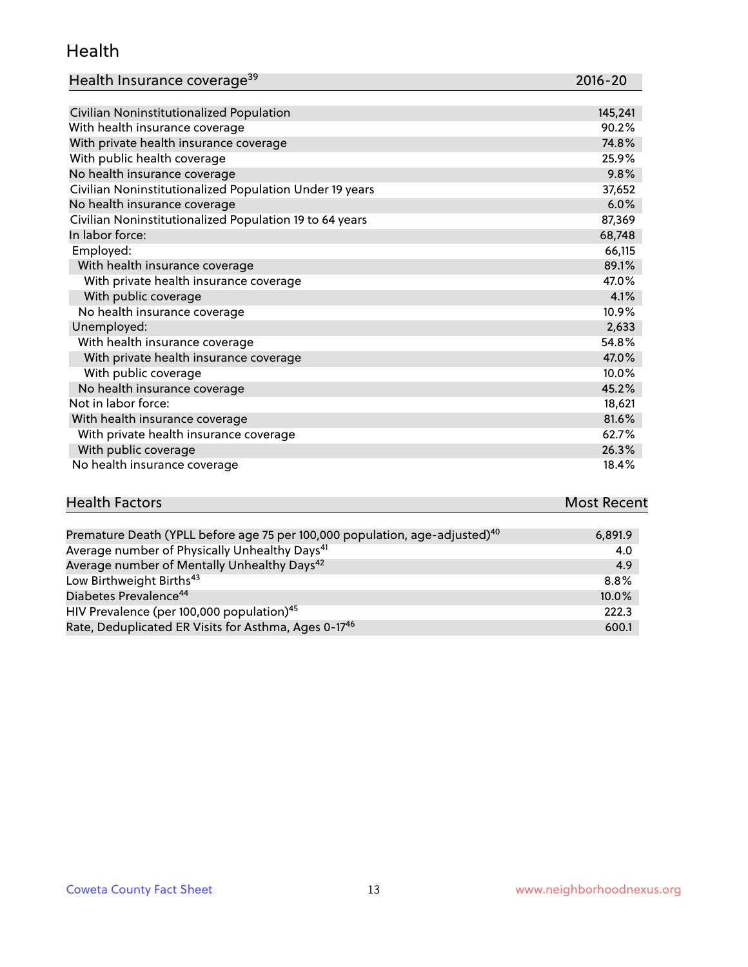#### Health

| Health Insurance coverage <sup>39</sup> | 2016-20 |
|-----------------------------------------|---------|
|-----------------------------------------|---------|

| Civilian Noninstitutionalized Population                | 145,241 |
|---------------------------------------------------------|---------|
| With health insurance coverage                          | 90.2%   |
| With private health insurance coverage                  | 74.8%   |
| With public health coverage                             | 25.9%   |
| No health insurance coverage                            | 9.8%    |
| Civilian Noninstitutionalized Population Under 19 years | 37,652  |
| No health insurance coverage                            | 6.0%    |
| Civilian Noninstitutionalized Population 19 to 64 years | 87,369  |
| In labor force:                                         | 68,748  |
| Employed:                                               | 66,115  |
| With health insurance coverage                          | 89.1%   |
| With private health insurance coverage                  | 47.0%   |
| With public coverage                                    | 4.1%    |
| No health insurance coverage                            | 10.9%   |
| Unemployed:                                             | 2,633   |
| With health insurance coverage                          | 54.8%   |
| With private health insurance coverage                  | 47.0%   |
| With public coverage                                    | 10.0%   |
| No health insurance coverage                            | 45.2%   |
| Not in labor force:                                     | 18,621  |
| With health insurance coverage                          | 81.6%   |
| With private health insurance coverage                  | 62.7%   |
| With public coverage                                    | 26.3%   |
| No health insurance coverage                            | 18.4%   |

| <b>Health Factors</b> | <b>Most Recent</b> |  |
|-----------------------|--------------------|--|
|                       | $ -$               |  |

| Premature Death (YPLL before age 75 per 100,000 population, age-adjusted) <sup>40</sup> | 6,891.9 |
|-----------------------------------------------------------------------------------------|---------|
| Average number of Physically Unhealthy Days <sup>41</sup>                               | 4.0     |
| Average number of Mentally Unhealthy Days <sup>42</sup>                                 | 4.9     |
| Low Birthweight Births <sup>43</sup>                                                    | 8.8%    |
| Diabetes Prevalence <sup>44</sup>                                                       | 10.0%   |
| HIV Prevalence (per 100,000 population) <sup>45</sup>                                   | 222.3   |
| Rate, Deduplicated ER Visits for Asthma, Ages 0-17 <sup>46</sup>                        | 600.1   |